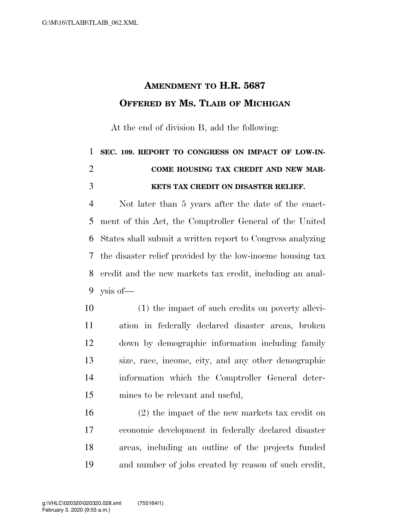## **AMENDMENT TO H.R. 5687 OFFERED BY MS. TLAIB OF MICHIGAN**

At the end of division B, add the following:

## **SEC. 109. REPORT TO CONGRESS ON IMPACT OF LOW-IN- COME HOUSING TAX CREDIT AND NEW MAR-KETS TAX CREDIT ON DISASTER RELIEF.**

 Not later than 5 years after the date of the enact- ment of this Act, the Comptroller General of the United States shall submit a written report to Congress analyzing the disaster relief provided by the low-inocme housing tax credit and the new markets tax credit, including an anal-ysis of—

 (1) the impact of such credits on poverty allevi- ation in federally declared disaster areas, broken down by demographic information including family size, race, income, city, and any other demographic information which the Comptroller General deter-mines to be relevant and useful,

 (2) the impact of the new markets tax credit on economic development in federally declared disaster areas, including an outline of the projects funded and number of jobs created by reason of such credit,